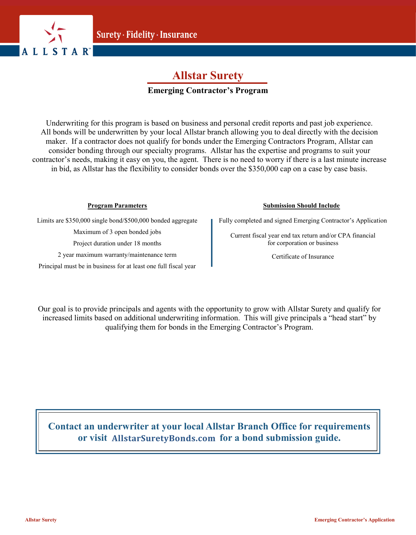

## **Allstar Surety**

### **Emerging Contractor's Program**

Underwriting for this program is based on business and personal credit reports and past job experience. All bonds will be underwritten by your local Allstar branch allowing you to deal directly with the decision maker. If a contractor does not qualify for bonds under the Emerging Contractors Program, Allstar can consider bonding through our specialty programs. Allstar has the expertise and programs to suit your contractor's needs, making it easy on you, the agent. There is no need to worry if there is a last minute increase in bid, as Allstar has the flexibility to consider bonds over the \$350,000 cap on a case by case basis.

### **Program Parameters**

Limits are \$350,000 single bond/\$500,000 bonded aggregate

Maximum of 3 open bonded jobs

Project duration under 18 months

2 year maximum warranty/maintenance term

Principal must be in business for at least one full fiscal year

### **Submission Should Include**

Fully completed and signed Emerging Contractor's Application

Current fiscal year end tax return and/or CPA financial for corporation or business

Certificate of Insurance

Our goal is to provide principals and agents with the opportunity to grow with Allstar Surety and qualify for increased limits based on additional underwriting information. This will give principals a "head start" by qualifying them for bonds in the Emerging Contractor's Program.

**Contact an underwriter at your local Allstar Branch Office for requirements**  or visit AllstarSuretyBonds.com for a bond submission guide.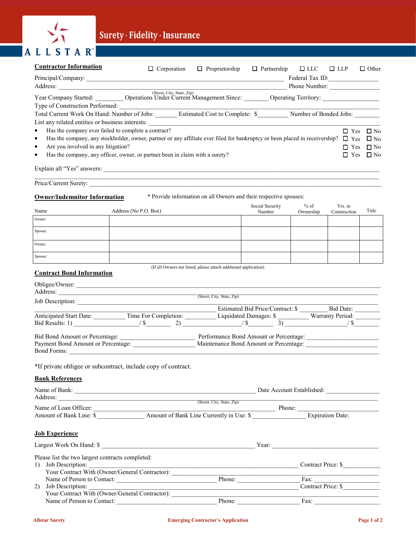

# Surety · Fidelity · Insurance

| <b>Contractor Information</b>                    | $\Box$ Corporation                                                                                                                                                                            | $\Box$ Proprietorship |                           | $\Box$ Partnership $\Box$ LLC | $\Box$ LLP              | $\Box$ Other                      |
|--------------------------------------------------|-----------------------------------------------------------------------------------------------------------------------------------------------------------------------------------------------|-----------------------|---------------------------|-------------------------------|-------------------------|-----------------------------------|
|                                                  | Phone Number:                                                                                                                                                                                 |                       |                           |                               |                         |                                   |
|                                                  | Vear Company Started: Operations Under Current Management Since: Operating Territory:                                                                                                         |                       |                           |                               |                         |                                   |
|                                                  | Type of Construction Performed:                                                                                                                                                               |                       |                           |                               |                         |                                   |
|                                                  | Total Current Work On Hand: Number of Jobs: ______ Estimated Cost to Complete: \$_______ Number of Bonded Jobs: ______                                                                        |                       |                           |                               |                         |                                   |
| $\bullet$                                        |                                                                                                                                                                                               |                       |                           |                               |                         |                                   |
| $\bullet$                                        | Has the company ever failed to complete a contract?<br>Has the company, any stockholder, owner, partner or any affiliate ever filed for bankruptcy or been placed in receivership? $\Box$ Yes |                       |                           |                               |                         | $\Box$ Yes $\Box$ No<br>$\Box$ No |
| Are you involved in any litigation?<br>$\bullet$ |                                                                                                                                                                                               |                       |                           |                               |                         | $\Box$ Yes $\Box$ No              |
|                                                  | Has the company, any officer, owner, or partner been in claim with a surety?                                                                                                                  |                       |                           |                               |                         | $\Box$ Yes $\Box$ No              |
|                                                  |                                                                                                                                                                                               |                       |                           |                               |                         |                                   |
|                                                  | Price/Current Surety:                                                                                                                                                                         |                       |                           |                               |                         |                                   |
| <b>Owner/Indemnitor Information</b>              | * Provide information on all Owners and their respective spouses:                                                                                                                             |                       |                           |                               |                         |                                   |
| Name                                             | Address (No P.O. Box)                                                                                                                                                                         |                       | Social Security<br>Number | $%$ of<br>Ownership           | Yrs. in<br>Construction | Title                             |
| Owner:                                           |                                                                                                                                                                                               |                       |                           |                               |                         |                                   |
| Spouse:                                          |                                                                                                                                                                                               |                       |                           |                               |                         |                                   |
| Owner:                                           |                                                                                                                                                                                               |                       |                           |                               |                         |                                   |
| Spouse:                                          |                                                                                                                                                                                               |                       |                           |                               |                         |                                   |
| <b>Contract Bond Information</b>                 | (If all Owners not listed, please attach additional application)                                                                                                                              |                       |                           |                               |                         |                                   |
|                                                  | Obligee/Owner:                                                                                                                                                                                |                       |                           |                               |                         |                                   |
|                                                  | Address: <u>City, State, Zip</u>                                                                                                                                                              |                       |                           |                               |                         |                                   |
|                                                  | Job Description:                                                                                                                                                                              |                       |                           |                               |                         |                                   |
|                                                  | Anticipated Start Date: Time For Completion: Estimated Bid Price/Contract: \$ Bid Date:                                                                                                       |                       |                           |                               |                         |                                   |
|                                                  | Bid Results: 1) $/$ \$ 2) $/$ \$ 3) $/$ \$ $/$ \$ $/$ \$ $/$ \$ $/$ \$ $/$ \$ $/$ \$ $/$ \$                                                                                                   |                       |                           |                               |                         |                                   |
| Bid Bond Amount or Percentage:                   |                                                                                                                                                                                               |                       |                           |                               |                         |                                   |
| Bond Forms:                                      | Payment Bond Amount or Percentage: Maintenance Bond Amount or Percentage: Maintenance Bond Amount or Percentage:                                                                              |                       |                           |                               |                         |                                   |
|                                                  | *If private obligee or subcontract, include copy of contract.                                                                                                                                 |                       |                           |                               |                         |                                   |
| <b>Bank References</b>                           |                                                                                                                                                                                               |                       |                           |                               |                         |                                   |
|                                                  |                                                                                                                                                                                               |                       |                           |                               |                         |                                   |
|                                                  | Address: <u>City, State, Zip</u>                                                                                                                                                              |                       |                           |                               |                         |                                   |
|                                                  |                                                                                                                                                                                               |                       |                           |                               |                         |                                   |
|                                                  |                                                                                                                                                                                               |                       |                           |                               |                         |                                   |
| <b>Job Experience</b>                            |                                                                                                                                                                                               |                       |                           |                               |                         |                                   |
|                                                  | Largest Work On Hand: \$                                                                                                                                                                      |                       |                           |                               |                         |                                   |
| Please list the two largest contracts completed: |                                                                                                                                                                                               |                       |                           |                               |                         |                                   |
|                                                  | 1) Job Description:<br>Your Contract With (Owner/General Contractor): Contract Price: \$<br>Name of Person to Contact: Price: \$<br>2) Job Description: Contract Price: \$                    |                       |                           |                               |                         |                                   |
|                                                  |                                                                                                                                                                                               |                       |                           |                               |                         |                                   |
|                                                  |                                                                                                                                                                                               |                       |                           |                               |                         |                                   |
|                                                  | Your Contract With (Owner/General Contractor):                                                                                                                                                |                       |                           |                               |                         |                                   |

Name of Person to Contact: **Example 2** Phone: **Example 2** Phone: **Example 2** Fax: **Example 2** Fax: **Example 2** Fax: **Example 2** Fax: **Example 2** Fax: **Example 2** Fax: **Example 2** Fax: **Example 2** Fax: **Example 2** Fax: **Exa**